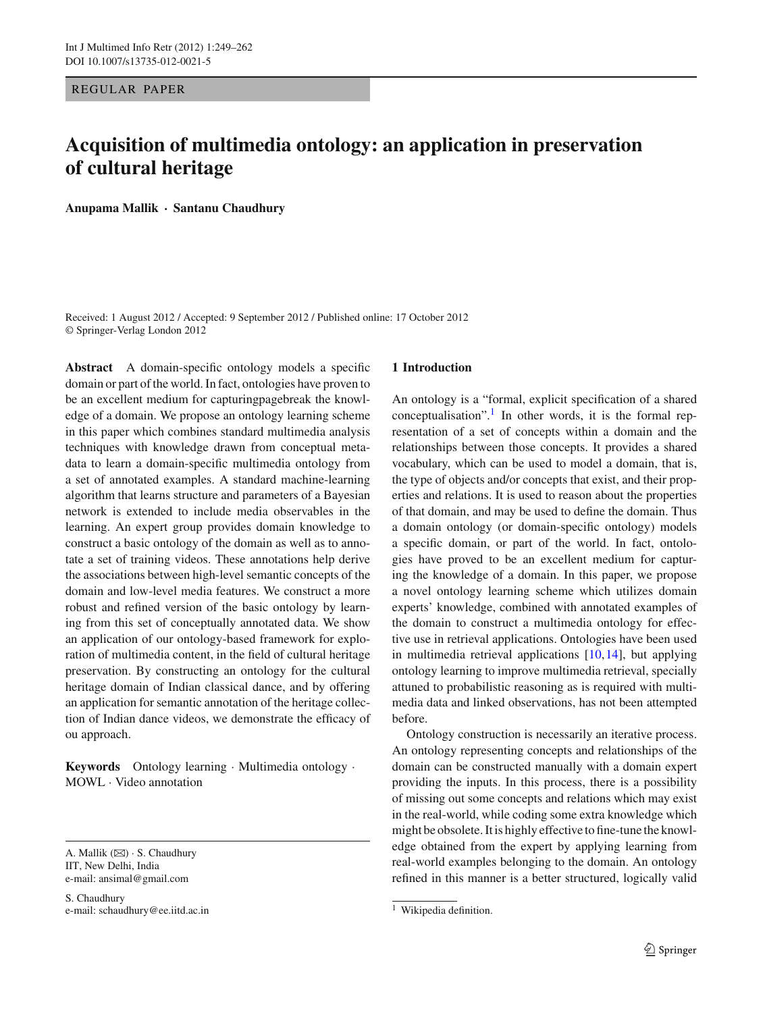REGULAR PAPER

# **Acquisition of multimedia ontology: an application in preservation of cultural heritage**

**Anupama Mallik** · **Santanu Chaudhury**

Received: 1 August 2012 / Accepted: 9 September 2012 / Published online: 17 October 2012 © Springer-Verlag London 2012

**Abstract** A domain-specific ontology models a specific domain or part of the world. In fact, ontologies have proven to be an excellent medium for capturingpagebreak the knowledge of a domain. We propose an ontology learning scheme in this paper which combines standard multimedia analysis techniques with knowledge drawn from conceptual metadata to learn a domain-specific multimedia ontology from a set of annotated examples. A standard machine-learning algorithm that learns structure and parameters of a Bayesian network is extended to include media observables in the learning. An expert group provides domain knowledge to construct a basic ontology of the domain as well as to annotate a set of training videos. These annotations help derive the associations between high-level semantic concepts of the domain and low-level media features. We construct a more robust and refined version of the basic ontology by learning from this set of conceptually annotated data. We show an application of our ontology-based framework for exploration of multimedia content, in the field of cultural heritage preservation. By constructing an ontology for the cultural heritage domain of Indian classical dance, and by offering an application for semantic annotation of the heritage collection of Indian dance videos, we demonstrate the efficacy of ou approach.

**Keywords** Ontology learning · Multimedia ontology · MOWL · Video annotation

A. Mallik  $(\boxtimes) \cdot$  S. Chaudhury IIT, New Delhi, India e-mail: ansimal@gmail.com

S. Chaudhury e-mail: schaudhury@ee.iitd.ac.in

## **1 Introduction**

An ontology is a "formal, explicit specification of a shared conceptualisation".<sup>[1](#page-0-0)</sup> In other words, it is the formal representation of a set of concepts within a domain and the relationships between those concepts. It provides a shared vocabulary, which can be used to model a domain, that is, the type of objects and/or concepts that exist, and their properties and relations. It is used to reason about the properties of that domain, and may be used to define the domain. Thus a domain ontology (or domain-specific ontology) models a specific domain, or part of the world. In fact, ontologies have proved to be an excellent medium for capturing the knowledge of a domain. In this paper, we propose a novel ontology learning scheme which utilizes domain experts' knowledge, combined with annotated examples of the domain to construct a multimedia ontology for effective use in retrieval applications. Ontologies have been used in multimedia retrieval applications  $[10,14]$  $[10,14]$ , but applying ontology learning to improve multimedia retrieval, specially attuned to probabilistic reasoning as is required with multimedia data and linked observations, has not been attempted before.

Ontology construction is necessarily an iterative process. An ontology representing concepts and relationships of the domain can be constructed manually with a domain expert providing the inputs. In this process, there is a possibility of missing out some concepts and relations which may exist in the real-world, while coding some extra knowledge which might be obsolete. It is highly effective to fine-tune the knowledge obtained from the expert by applying learning from real-world examples belonging to the domain. An ontology refined in this manner is a better structured, logically valid

<span id="page-0-0"></span><sup>&</sup>lt;sup>1</sup> Wikipedia definition.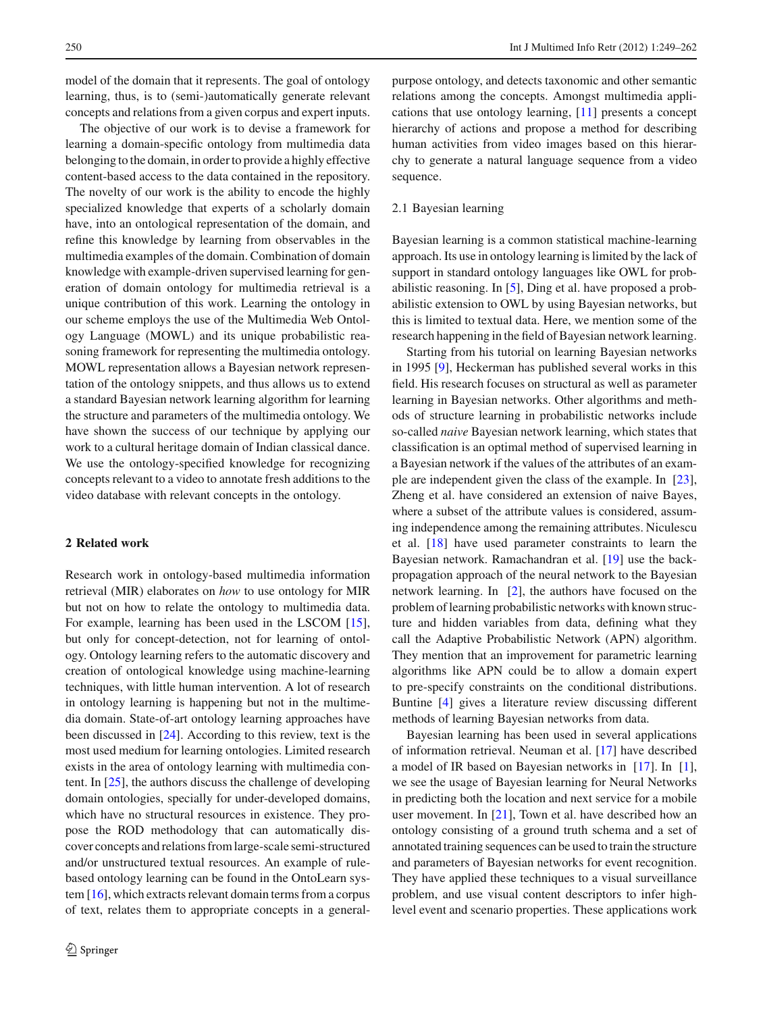model of the domain that it represents. The goal of ontology learning, thus, is to (semi-)automatically generate relevant concepts and relations from a given corpus and expert inputs.

The objective of our work is to devise a framework for learning a domain-specific ontology from multimedia data belonging to the domain, in order to provide a highly effective content-based access to the data contained in the repository. The novelty of our work is the ability to encode the highly specialized knowledge that experts of a scholarly domain have, into an ontological representation of the domain, and refine this knowledge by learning from observables in the multimedia examples of the domain. Combination of domain knowledge with example-driven supervised learning for generation of domain ontology for multimedia retrieval is a unique contribution of this work. Learning the ontology in our scheme employs the use of the Multimedia Web Ontology Language (MOWL) and its unique probabilistic reasoning framework for representing the multimedia ontology. MOWL representation allows a Bayesian network representation of the ontology snippets, and thus allows us to extend a standard Bayesian network learning algorithm for learning the structure and parameters of the multimedia ontology. We have shown the success of our technique by applying our work to a cultural heritage domain of Indian classical dance. We use the ontology-specified knowledge for recognizing concepts relevant to a video to annotate fresh additions to the video database with relevant concepts in the ontology.

## **2 Related work**

Research work in ontology-based multimedia information retrieval (MIR) elaborates on *how* to use ontology for MIR but not on how to relate the ontology to multimedia data. For example, learning has been used in the LSCOM [\[15](#page-13-2)], but only for concept-detection, not for learning of ontology. Ontology learning refers to the automatic discovery and creation of ontological knowledge using machine-learning techniques, with little human intervention. A lot of research in ontology learning is happening but not in the multimedia domain. State-of-art ontology learning approaches have been discussed in [\[24](#page-13-3)]. According to this review, text is the most used medium for learning ontologies. Limited research exists in the area of ontology learning with multimedia content. In [\[25\]](#page-13-4), the authors discuss the challenge of developing domain ontologies, specially for under-developed domains, which have no structural resources in existence. They propose the ROD methodology that can automatically discover concepts and relations from large-scale semi-structured and/or unstructured textual resources. An example of rulebased ontology learning can be found in the OntoLearn system [\[16\]](#page-13-5), which extracts relevant domain terms from a corpus of text, relates them to appropriate concepts in a generalpurpose ontology, and detects taxonomic and other semantic relations among the concepts. Amongst multimedia applications that use ontology learning, [\[11\]](#page-13-6) presents a concept hierarchy of actions and propose a method for describing human activities from video images based on this hierarchy to generate a natural language sequence from a video sequence.

## 2.1 Bayesian learning

Bayesian learning is a common statistical machine-learning approach. Its use in ontology learning is limited by the lack of support in standard ontology languages like OWL for probabilistic reasoning. In [\[5](#page-13-7)], Ding et al. have proposed a probabilistic extension to OWL by using Bayesian networks, but this is limited to textual data. Here, we mention some of the research happening in the field of Bayesian network learning.

Starting from his tutorial on learning Bayesian networks in 1995 [\[9\]](#page-13-8), Heckerman has published several works in this field. His research focuses on structural as well as parameter learning in Bayesian networks. Other algorithms and methods of structure learning in probabilistic networks include so-called *naive* Bayesian network learning, which states that classification is an optimal method of supervised learning in a Bayesian network if the values of the attributes of an example are independent given the class of the example. In [\[23](#page-13-9)], Zheng et al. have considered an extension of naive Bayes, where a subset of the attribute values is considered, assuming independence among the remaining attributes. Niculescu et al. [\[18](#page-13-10)] have used parameter constraints to learn the Bayesian network. Ramachandran et al. [\[19\]](#page-13-11) use the backpropagation approach of the neural network to the Bayesian network learning. In [\[2](#page-13-12)], the authors have focused on the problem of learning probabilistic networks with known structure and hidden variables from data, defining what they call the Adaptive Probabilistic Network (APN) algorithm. They mention that an improvement for parametric learning algorithms like APN could be to allow a domain expert to pre-specify constraints on the conditional distributions. Buntine [\[4\]](#page-13-13) gives a literature review discussing different methods of learning Bayesian networks from data.

Bayesian learning has been used in several applications of information retrieval. Neuman et al. [\[17](#page-13-14)] have described a model of IR based on Bayesian networks in [\[17\]](#page-13-14). In [\[1](#page-13-15)], we see the usage of Bayesian learning for Neural Networks in predicting both the location and next service for a mobile user movement. In [\[21\]](#page-13-16), Town et al. have described how an ontology consisting of a ground truth schema and a set of annotated training sequences can be used to train the structure and parameters of Bayesian networks for event recognition. They have applied these techniques to a visual surveillance problem, and use visual content descriptors to infer highlevel event and scenario properties. These applications work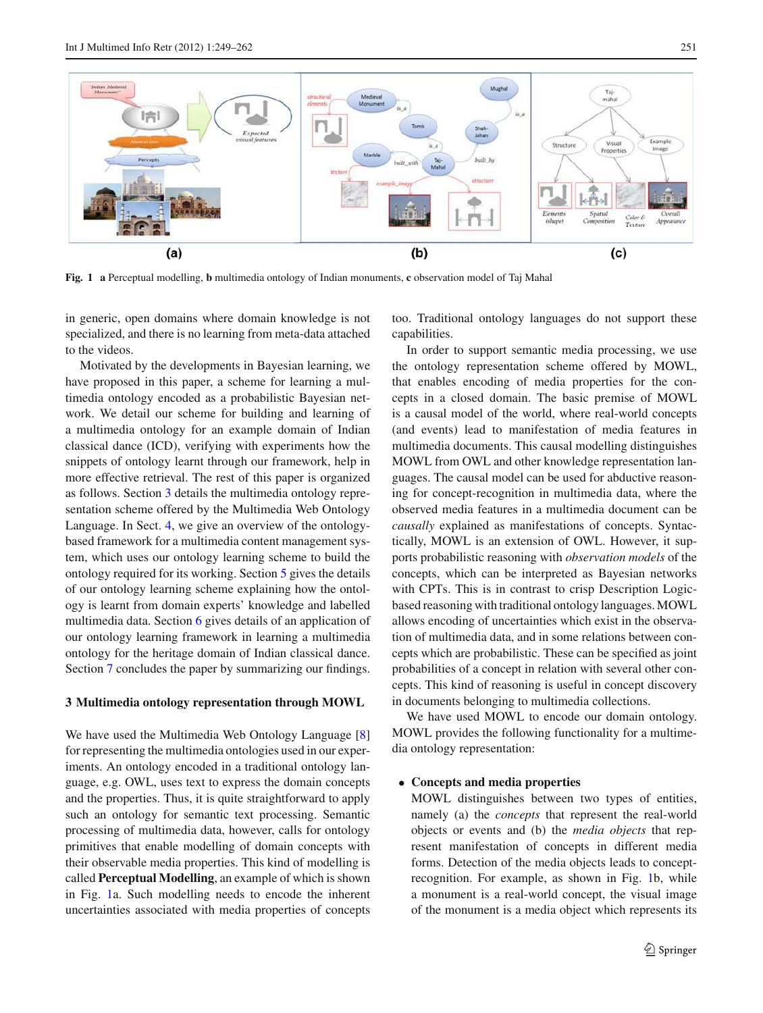

<span id="page-2-1"></span>**Fig. 1 a** Perceptual modelling, **b** multimedia ontology of Indian monuments, **c** observation model of Taj Mahal

in generic, open domains where domain knowledge is not specialized, and there is no learning from meta-data attached to the videos.

Motivated by the developments in Bayesian learning, we have proposed in this paper, a scheme for learning a multimedia ontology encoded as a probabilistic Bayesian network. We detail our scheme for building and learning of a multimedia ontology for an example domain of Indian classical dance (ICD), verifying with experiments how the snippets of ontology learnt through our framework, help in more effective retrieval. The rest of this paper is organized as follows. Section [3](#page-2-0) details the multimedia ontology representation scheme offered by the Multimedia Web Ontology Language. In Sect. [4,](#page-3-0) we give an overview of the ontologybased framework for a multimedia content management system, which uses our ontology learning scheme to build the ontology required for its working. Section [5](#page-4-0) gives the details of our ontology learning scheme explaining how the ontology is learnt from domain experts' knowledge and labelled multimedia data. Section [6](#page-8-0) gives details of an application of our ontology learning framework in learning a multimedia ontology for the heritage domain of Indian classical dance. Section [7](#page-13-17) concludes the paper by summarizing our findings.

#### <span id="page-2-0"></span>**3 Multimedia ontology representation through MOWL**

We have used the Multimedia Web Ontology Language [\[8\]](#page-13-18) for representing the multimedia ontologies used in our experiments. An ontology encoded in a traditional ontology language, e.g. OWL, uses text to express the domain concepts and the properties. Thus, it is quite straightforward to apply such an ontology for semantic text processing. Semantic processing of multimedia data, however, calls for ontology primitives that enable modelling of domain concepts with their observable media properties. This kind of modelling is called **Perceptual Modelling**, an example of which is shown in Fig. [1a](#page-2-1). Such modelling needs to encode the inherent uncertainties associated with media properties of concepts too. Traditional ontology languages do not support these capabilities.

In order to support semantic media processing, we use the ontology representation scheme offered by MOWL, that enables encoding of media properties for the concepts in a closed domain. The basic premise of MOWL is a causal model of the world, where real-world concepts (and events) lead to manifestation of media features in multimedia documents. This causal modelling distinguishes MOWL from OWL and other knowledge representation languages. The causal model can be used for abductive reasoning for concept-recognition in multimedia data, where the observed media features in a multimedia document can be *causally* explained as manifestations of concepts. Syntactically, MOWL is an extension of OWL. However, it supports probabilistic reasoning with *observation models* of the concepts, which can be interpreted as Bayesian networks with CPTs. This is in contrast to crisp Description Logicbased reasoning with traditional ontology languages. MOWL allows encoding of uncertainties which exist in the observation of multimedia data, and in some relations between concepts which are probabilistic. These can be specified as joint probabilities of a concept in relation with several other concepts. This kind of reasoning is useful in concept discovery in documents belonging to multimedia collections.

We have used MOWL to encode our domain ontology. MOWL provides the following functionality for a multimedia ontology representation:

### • **Concepts and media properties**

MOWL distinguishes between two types of entities, namely (a) the *concepts* that represent the real-world objects or events and (b) the *media objects* that represent manifestation of concepts in different media forms. Detection of the media objects leads to conceptrecognition. For example, as shown in Fig. [1b](#page-2-1), while a monument is a real-world concept, the visual image of the monument is a media object which represents its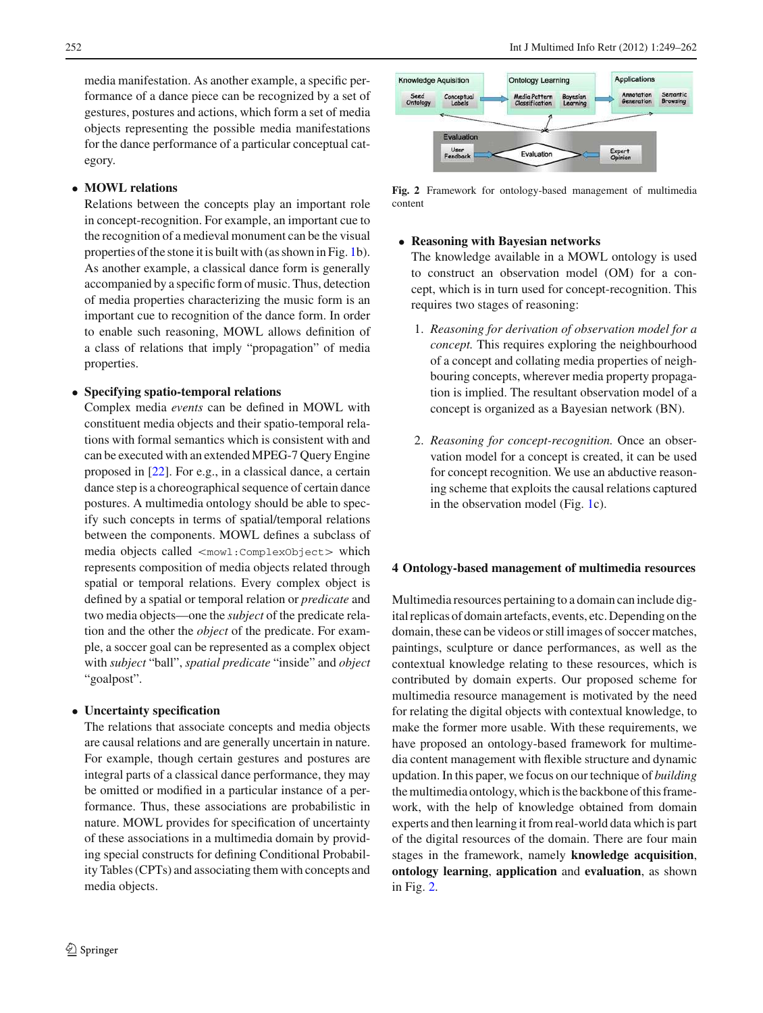media manifestation. As another example, a specific performance of a dance piece can be recognized by a set of gestures, postures and actions, which form a set of media objects representing the possible media manifestations for the dance performance of a particular conceptual category.

# • **MOWL relations**

Relations between the concepts play an important role in concept-recognition. For example, an important cue to the recognition of a medieval monument can be the visual properties of the stone it is built with (as shown in Fig. [1b](#page-2-1)). As another example, a classical dance form is generally accompanied by a specific form of music. Thus, detection of media properties characterizing the music form is an important cue to recognition of the dance form. In order to enable such reasoning, MOWL allows definition of a class of relations that imply "propagation" of media properties.

# • **Specifying spatio-temporal relations**

Complex media *events* can be defined in MOWL with constituent media objects and their spatio-temporal relations with formal semantics which is consistent with and can be executed with an extended MPEG-7 Query Engine proposed in [\[22\]](#page-13-19). For e.g., in a classical dance, a certain dance step is a choreographical sequence of certain dance postures. A multimedia ontology should be able to specify such concepts in terms of spatial/temporal relations between the components. MOWL defines a subclass of media objects called <mowl:ComplexObject> which represents composition of media objects related through spatial or temporal relations. Every complex object is defined by a spatial or temporal relation or *predicate* and two media objects—one the *subject* of the predicate relation and the other the *object* of the predicate. For example, a soccer goal can be represented as a complex object with *subject* "ball", *spatial predicate* "inside" and *object* "goalpost".

## • **Uncertainty specification**

The relations that associate concepts and media objects are causal relations and are generally uncertain in nature. For example, though certain gestures and postures are integral parts of a classical dance performance, they may be omitted or modified in a particular instance of a performance. Thus, these associations are probabilistic in nature. MOWL provides for specification of uncertainty of these associations in a multimedia domain by providing special constructs for defining Conditional Probability Tables (CPTs) and associating them with concepts and media objects.



<span id="page-3-1"></span>**Fig. 2** Framework for ontology-based management of multimedia content

#### • **Reasoning with Bayesian networks**

The knowledge available in a MOWL ontology is used to construct an observation model (OM) for a concept, which is in turn used for concept-recognition. This requires two stages of reasoning:

- 1. *Reasoning for derivation of observation model for a concept.* This requires exploring the neighbourhood of a concept and collating media properties of neighbouring concepts, wherever media property propagation is implied. The resultant observation model of a concept is organized as a Bayesian network (BN).
- 2. *Reasoning for concept-recognition.* Once an observation model for a concept is created, it can be used for concept recognition. We use an abductive reasoning scheme that exploits the causal relations captured in the observation model (Fig. [1c](#page-2-1)).

#### <span id="page-3-0"></span>**4 Ontology-based management of multimedia resources**

Multimedia resources pertaining to a domain can include digital replicas of domain artefacts, events, etc. Depending on the domain, these can be videos or still images of soccer matches, paintings, sculpture or dance performances, as well as the contextual knowledge relating to these resources, which is contributed by domain experts. Our proposed scheme for multimedia resource management is motivated by the need for relating the digital objects with contextual knowledge, to make the former more usable. With these requirements, we have proposed an ontology-based framework for multimedia content management with flexible structure and dynamic updation. In this paper, we focus on our technique of *building* the multimedia ontology, which is the backbone of this framework, with the help of knowledge obtained from domain experts and then learning it from real-world data which is part of the digital resources of the domain. There are four main stages in the framework, namely **knowledge acquisition**, **ontology learning**, **application** and **evaluation**, as shown in Fig. [2.](#page-3-1)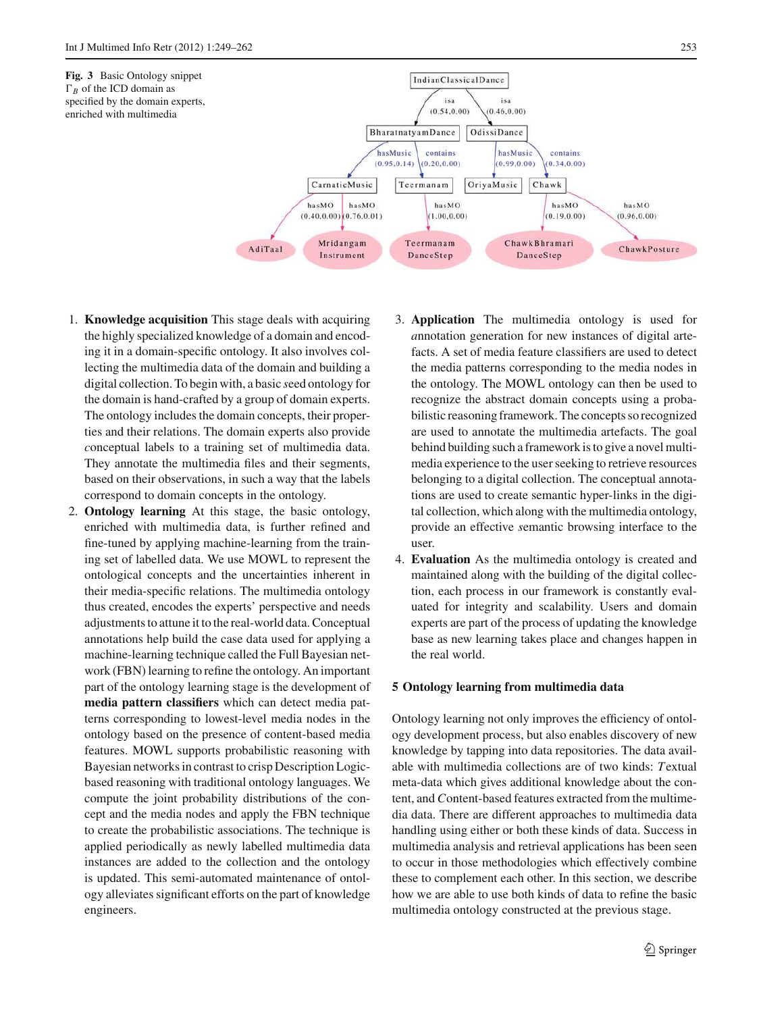<span id="page-4-1"></span>



- 1. **Knowledge acquisition** This stage deals with acquiring the highly specialized knowledge of a domain and encoding it in a domain-specific ontology. It also involves collecting the multimedia data of the domain and building a digital collection. To begin with, a basic *s*eed ontology for the domain is hand-crafted by a group of domain experts. The ontology includes the domain concepts, their properties and their relations. The domain experts also provide *c*onceptual labels to a training set of multimedia data. They annotate the multimedia files and their segments, based on their observations, in such a way that the labels correspond to domain concepts in the ontology.
- 2. **Ontology learning** At this stage, the basic ontology, enriched with multimedia data, is further refined and fine-tuned by applying machine-learning from the training set of labelled data. We use MOWL to represent the ontological concepts and the uncertainties inherent in their media-specific relations. The multimedia ontology thus created, encodes the experts' perspective and needs adjustments to attune it to the real-world data. Conceptual annotations help build the case data used for applying a machine-learning technique called the Full Bayesian network (FBN) learning to refine the ontology. An important part of the ontology learning stage is the development of **media pattern classifiers** which can detect media patterns corresponding to lowest-level media nodes in the ontology based on the presence of content-based media features. MOWL supports probabilistic reasoning with Bayesian networks in contrast to crisp Description Logicbased reasoning with traditional ontology languages. We compute the joint probability distributions of the concept and the media nodes and apply the FBN technique to create the probabilistic associations. The technique is applied periodically as newly labelled multimedia data instances are added to the collection and the ontology is updated. This semi-automated maintenance of ontology alleviates significant efforts on the part of knowledge engineers.
- 3. **Application** The multimedia ontology is used for *a*nnotation generation for new instances of digital artefacts. A set of media feature classifiers are used to detect the media patterns corresponding to the media nodes in the ontology. The MOWL ontology can then be used to recognize the abstract domain concepts using a probabilistic reasoning framework. The concepts so recognized are used to annotate the multimedia artefacts. The goal behind building such a framework is to give a novel multimedia experience to the user seeking to retrieve resources belonging to a digital collection. The conceptual annotations are used to create semantic hyper-links in the digital collection, which along with the multimedia ontology, provide an effective *s*emantic browsing interface to the user.
- 4. **Evaluation** As the multimedia ontology is created and maintained along with the building of the digital collection, each process in our framework is constantly evaluated for integrity and scalability. Users and domain experts are part of the process of updating the knowledge base as new learning takes place and changes happen in the real world.

# <span id="page-4-0"></span>**5 Ontology learning from multimedia data**

Ontology learning not only improves the efficiency of ontology development process, but also enables discovery of new knowledge by tapping into data repositories. The data available with multimedia collections are of two kinds: *T*extual meta-data which gives additional knowledge about the content, and *C*ontent-based features extracted from the multimedia data. There are different approaches to multimedia data handling using either or both these kinds of data. Success in multimedia analysis and retrieval applications has been seen to occur in those methodologies which effectively combine these to complement each other. In this section, we describe how we are able to use both kinds of data to refine the basic multimedia ontology constructed at the previous stage.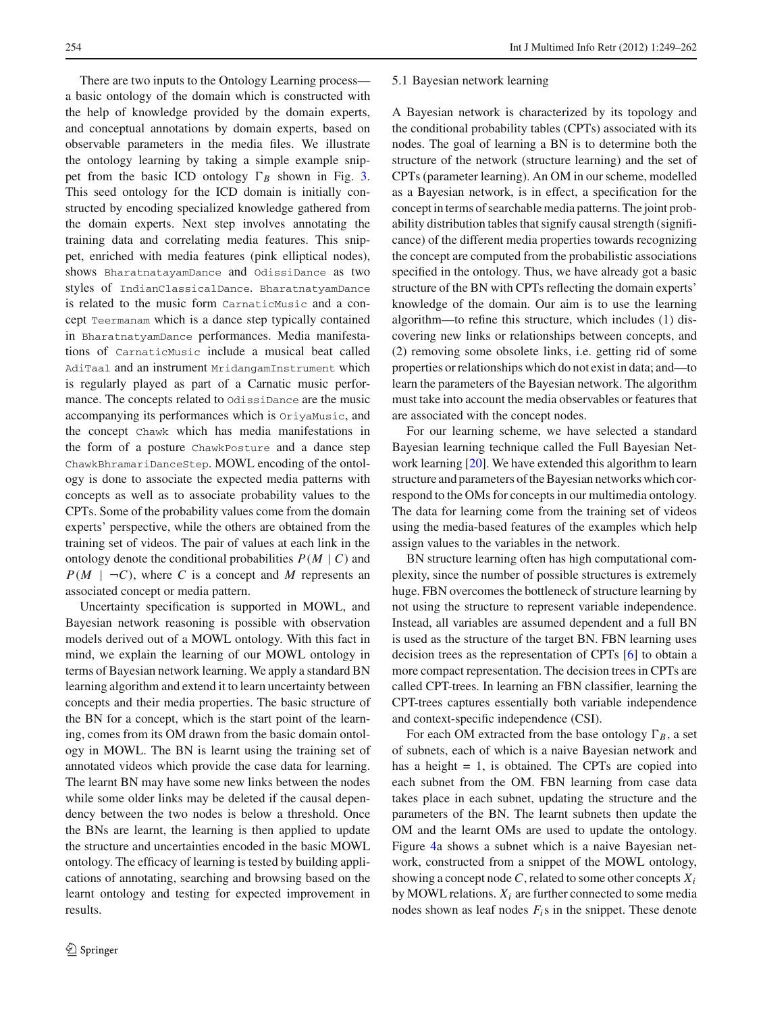There are two inputs to the Ontology Learning process a basic ontology of the domain which is constructed with the help of knowledge provided by the domain experts, and conceptual annotations by domain experts, based on observable parameters in the media files. We illustrate the ontology learning by taking a simple example snippet from the basic ICD ontology  $\Gamma_B$  shown in Fig. [3.](#page-4-1) This seed ontology for the ICD domain is initially constructed by encoding specialized knowledge gathered from the domain experts. Next step involves annotating the training data and correlating media features. This snippet, enriched with media features (pink elliptical nodes), shows BharatnatayamDance and OdissiDance as two styles of IndianClassicalDance. BharatnatyamDance is related to the music form CarnaticMusic and a concept Teermanam which is a dance step typically contained in BharatnatyamDance performances. Media manifestations of CarnaticMusic include a musical beat called AdiTaal and an instrument MridangamInstrument which is regularly played as part of a Carnatic music performance. The concepts related to OdissiDance are the music accompanying its performances which is OriyaMusic, and the concept Chawk which has media manifestations in the form of a posture ChawkPosture and a dance step ChawkBhramariDanceStep. MOWL encoding of the ontology is done to associate the expected media patterns with concepts as well as to associate probability values to the CPTs. Some of the probability values come from the domain experts' perspective, while the others are obtained from the training set of videos. The pair of values at each link in the ontology denote the conditional probabilities  $P(M | C)$  and  $P(M \mid \neg C)$ , where *C* is a concept and *M* represents an associated concept or media pattern.

Uncertainty specification is supported in MOWL, and Bayesian network reasoning is possible with observation models derived out of a MOWL ontology. With this fact in mind, we explain the learning of our MOWL ontology in terms of Bayesian network learning. We apply a standard BN learning algorithm and extend it to learn uncertainty between concepts and their media properties. The basic structure of the BN for a concept, which is the start point of the learning, comes from its OM drawn from the basic domain ontology in MOWL. The BN is learnt using the training set of annotated videos which provide the case data for learning. The learnt BN may have some new links between the nodes while some older links may be deleted if the causal dependency between the two nodes is below a threshold. Once the BNs are learnt, the learning is then applied to update the structure and uncertainties encoded in the basic MOWL ontology. The efficacy of learning is tested by building applications of annotating, searching and browsing based on the learnt ontology and testing for expected improvement in results.

#### <span id="page-5-0"></span>5.1 Bayesian network learning

A Bayesian network is characterized by its topology and the conditional probability tables (CPTs) associated with its nodes. The goal of learning a BN is to determine both the structure of the network (structure learning) and the set of CPTs (parameter learning). An OM in our scheme, modelled as a Bayesian network, is in effect, a specification for the concept in terms of searchable media patterns. The joint probability distribution tables that signify causal strength (significance) of the different media properties towards recognizing the concept are computed from the probabilistic associations specified in the ontology. Thus, we have already got a basic structure of the BN with CPTs reflecting the domain experts' knowledge of the domain. Our aim is to use the learning algorithm—to refine this structure, which includes (1) discovering new links or relationships between concepts, and (2) removing some obsolete links, i.e. getting rid of some properties or relationships which do not exist in data; and—to learn the parameters of the Bayesian network. The algorithm must take into account the media observables or features that are associated with the concept nodes.

For our learning scheme, we have selected a standard Bayesian learning technique called the Full Bayesian Network learning [\[20](#page-13-20)]. We have extended this algorithm to learn structure and parameters of the Bayesian networks which correspond to the OMs for concepts in our multimedia ontology. The data for learning come from the training set of videos using the media-based features of the examples which help assign values to the variables in the network.

BN structure learning often has high computational complexity, since the number of possible structures is extremely huge. FBN overcomes the bottleneck of structure learning by not using the structure to represent variable independence. Instead, all variables are assumed dependent and a full BN is used as the structure of the target BN. FBN learning uses decision trees as the representation of CPTs [\[6\]](#page-13-21) to obtain a more compact representation. The decision trees in CPTs are called CPT-trees. In learning an FBN classifier, learning the CPT-trees captures essentially both variable independence and context-specific independence (CSI).

For each OM extracted from the base ontology  $\Gamma_B$ , a set of subnets, each of which is a naive Bayesian network and has a height  $= 1$ , is obtained. The CPTs are copied into each subnet from the OM. FBN learning from case data takes place in each subnet, updating the structure and the parameters of the BN. The learnt subnets then update the OM and the learnt OMs are used to update the ontology. Figure [4a](#page-6-0) shows a subnet which is a naive Bayesian network, constructed from a snippet of the MOWL ontology, showing a concept node *C*, related to some other concepts *X<sup>i</sup>* by MOWL relations.  $X_i$  are further connected to some media nodes shown as leaf nodes *Fi*s in the snippet. These denote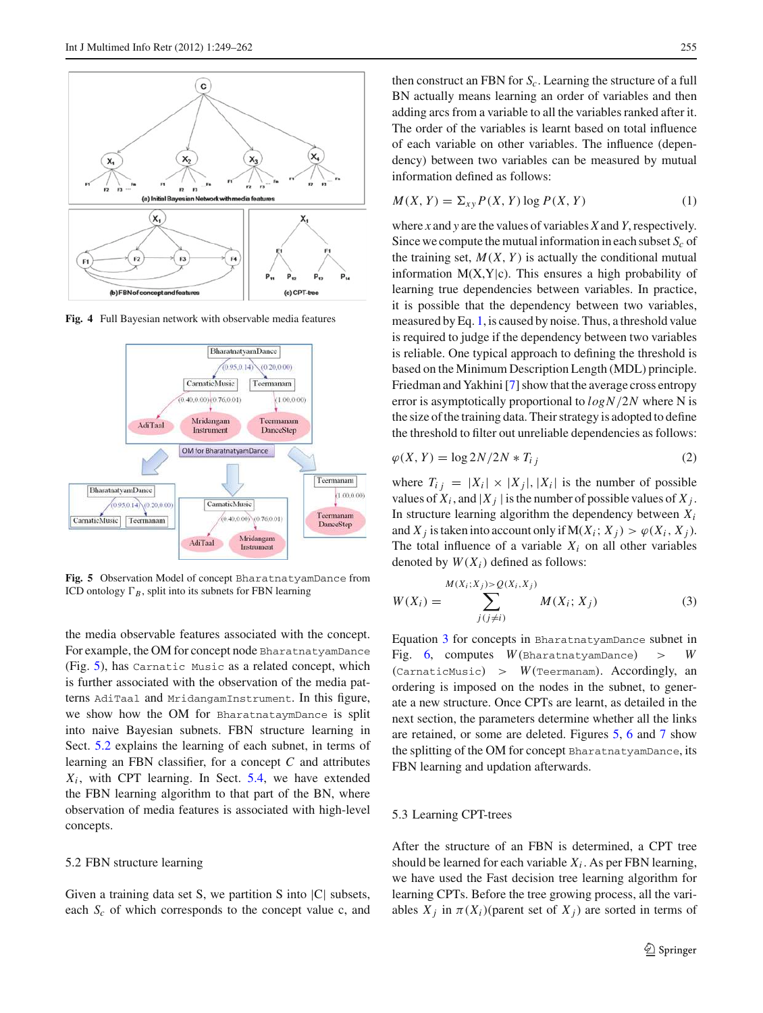

**Fig. 4** Full Bayesian network with observable media features

<span id="page-6-0"></span>

<span id="page-6-1"></span>**Fig. 5** Observation Model of concept BharatnatyamDance from ICD ontology  $\Gamma_B$ , split into its subnets for FBN learning

the media observable features associated with the concept. For example, the OM for concept node BharatnatyamDance (Fig. [5\)](#page-6-1), has Carnatic Music as a related concept, which is further associated with the observation of the media patterns AdiTaal and MridangamInstrument. In this figure, we show how the OM for BharatnataymDance is split into naive Bayesian subnets. FBN structure learning in Sect. [5.2](#page-6-2) explains the learning of each subnet, in terms of learning an FBN classifier, for a concept *C* and attributes  $X_i$ , with CPT learning. In Sect. [5.4,](#page-7-0) we have extended the FBN learning algorithm to that part of the BN, where observation of media features is associated with high-level concepts.

### <span id="page-6-2"></span>5.2 FBN structure learning

Given a training data set S, we partition S into  $|C|$  subsets, each *S<sup>c</sup>* of which corresponds to the concept value c, and

then construct an FBN for *Sc*. Learning the structure of a full BN actually means learning an order of variables and then adding arcs from a variable to all the variables ranked after it. The order of the variables is learnt based on total influence of each variable on other variables. The influence (dependency) between two variables can be measured by mutual information defined as follows:

<span id="page-6-3"></span>
$$
M(X, Y) = \sum_{xy} P(X, Y) \log P(X, Y) \tag{1}
$$

where *x* and *y* are the values of variables *X* and *Y*, respectively. Since we compute the mutual information in each subset *S<sup>c</sup>* of the training set,  $M(X, Y)$  is actually the conditional mutual information  $M(X, Y|c)$ . This ensures a high probability of learning true dependencies between variables. In practice, it is possible that the dependency between two variables, measured by Eq. [1,](#page-6-3) is caused by noise. Thus, a threshold value is required to judge if the dependency between two variables is reliable. One typical approach to defining the threshold is based on the Minimum Description Length (MDL) principle. Friedman and Yakhini [\[7\]](#page-13-22) show that the average cross entropy error is asymptotically proportional to *logN*/2*N* where N is the size of the training data. Their strategy is adopted to define the threshold to filter out unreliable dependencies as follows:

$$
\varphi(X, Y) = \log 2N / 2N * T_{ij}
$$
\n<sup>(2)</sup>

where  $T_{ij} = |X_i| \times |X_j|$ ,  $|X_i|$  is the number of possible values of  $X_i$ , and  $|X_j|$  is the number of possible values of  $X_j$ . In structure learning algorithm the dependency between  $X_i$ and  $X_j$  is taken into account only if  $M(X_i; X_j) > \varphi(X_i, X_j)$ . The total influence of a variable  $X_i$  on all other variables denoted by  $W(X_i)$  defined as follows:

<span id="page-6-4"></span>
$$
W(X_i) = \sum_{j(j \neq i)}^{M(X_i; X_j) > Q(X_i, X_j)} M(X_i; X_j)
$$
 (3)

Equation [3](#page-6-4) for concepts in BharatnatyamDance subnet in Fig. [6,](#page-7-1) computes *W*(BharatnatyamDance) > *W* (CarnaticMusic) > *W*(Teermanam). Accordingly, an ordering is imposed on the nodes in the subnet, to generate a new structure. Once CPTs are learnt, as detailed in the next section, the parameters determine whether all the links are retained, or some are deleted. Figures [5,](#page-6-1) [6](#page-7-1) and [7](#page-7-2) show the splitting of the OM for concept BharatnatyamDance, its FBN learning and updation afterwards.

### 5.3 Learning CPT-trees

After the structure of an FBN is determined, a CPT tree should be learned for each variable  $X_i$ . As per FBN learning, we have used the Fast decision tree learning algorithm for learning CPTs. Before the tree growing process, all the variables  $X_j$  in  $\pi(X_i)$  (parent set of  $X_j$ ) are sorted in terms of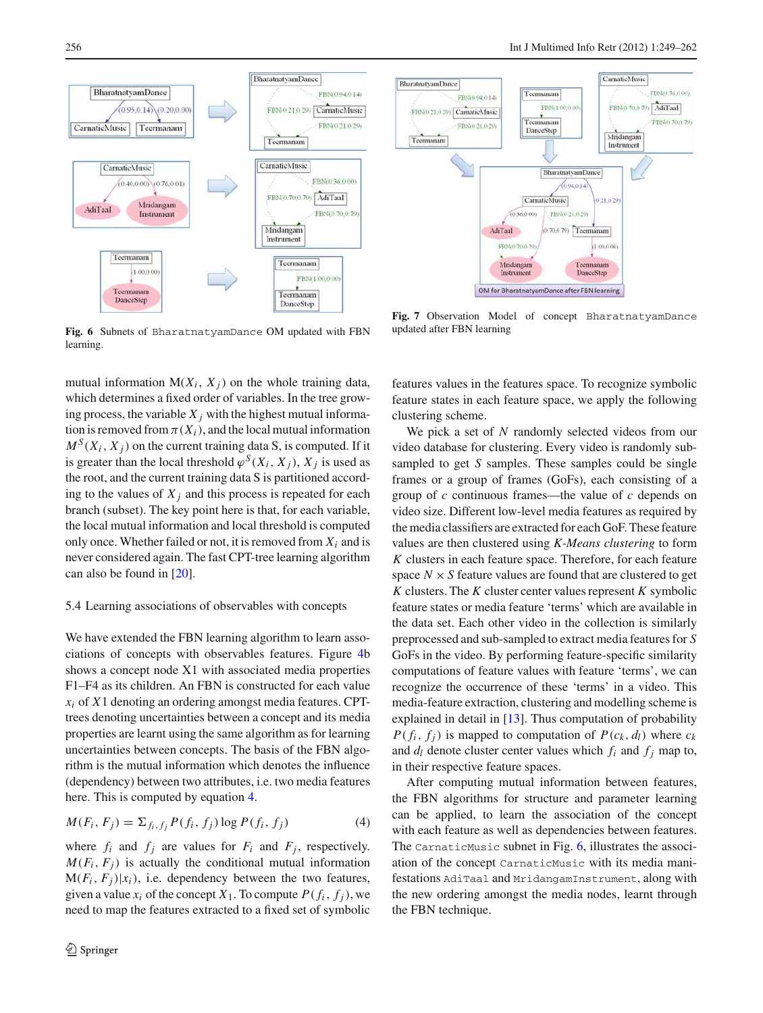

<span id="page-7-1"></span>**Fig. 6** Subnets of BharatnatyamDance OM updated with FBN learning.

mutual information  $M(X_i, X_j)$  on the whole training data, which determines a fixed order of variables. In the tree growing process, the variable  $X_i$  with the highest mutual information is removed from  $\pi(X_i)$ , and the local mutual information  $M^S(X_i, X_j)$  on the current training data S, is computed. If it is greater than the local threshold  $\varphi^{S}(X_i, X_j)$ ,  $X_j$  is used as the root, and the current training data S is partitioned according to the values of  $X_j$  and this process is repeated for each branch (subset). The key point here is that, for each variable, the local mutual information and local threshold is computed only once. Whether failed or not, it is removed from  $X_i$  and is never considered again. The fast CPT-tree learning algorithm can also be found in [\[20](#page-13-20)].

# <span id="page-7-0"></span>5.4 Learning associations of observables with concepts

We have extended the FBN learning algorithm to learn associations of concepts with observables features. Figure [4b](#page-6-0) shows a concept node X1 with associated media properties F1–F4 as its children. An FBN is constructed for each value *x<sup>i</sup>* of *X*1 denoting an ordering amongst media features. CPTtrees denoting uncertainties between a concept and its media properties are learnt using the same algorithm as for learning uncertainties between concepts. The basis of the FBN algorithm is the mutual information which denotes the influence (dependency) between two attributes, i.e. two media features here. This is computed by equation [4.](#page-7-3)

<span id="page-7-3"></span>
$$
M(F_i, F_j) = \sum_{f_i, f_j} P(f_i, f_j) \log P(f_i, f_j)
$$
\n
$$
(4)
$$

where  $f_i$  and  $f_j$  are values for  $F_i$  and  $F_j$ , respectively.  $M(F_i, F_j)$  is actually the conditional mutual information  $M(F_i, F_j)|x_i$ , i.e. dependency between the two features, given a value  $x_i$  of the concept  $X_1$ . To compute  $P(f_i, f_j)$ , we need to map the features extracted to a fixed set of symbolic



<span id="page-7-2"></span>Fig. 7 Observation Model of concept BharatnatyamDance updated after FBN learning

features values in the features space. To recognize symbolic feature states in each feature space, we apply the following clustering scheme.

We pick a set of *N* randomly selected videos from our video database for clustering. Every video is randomly subsampled to get *S* samples. These samples could be single frames or a group of frames (GoFs), each consisting of a group of *c* continuous frames—the value of *c* depends on video size. Different low-level media features as required by the media classifiers are extracted for each GoF. These feature values are then clustered using *K-Means clustering* to form *K* clusters in each feature space. Therefore, for each feature space  $N \times S$  feature values are found that are clustered to get *K* clusters. The *K* cluster center values represent *K* symbolic feature states or media feature 'terms' which are available in the data set. Each other video in the collection is similarly preprocessed and sub-sampled to extract media features for *S* GoFs in the video. By performing feature-specific similarity computations of feature values with feature 'terms', we can recognize the occurrence of these 'terms' in a video. This media-feature extraction, clustering and modelling scheme is explained in detail in [\[13](#page-13-23)]. Thus computation of probability  $P(f_i, f_j)$  is mapped to computation of  $P(c_k, d_l)$  where  $c_k$ and  $d_l$  denote cluster center values which  $f_i$  and  $f_j$  map to, in their respective feature spaces.

After computing mutual information between features, the FBN algorithms for structure and parameter learning can be applied, to learn the association of the concept with each feature as well as dependencies between features. The CarnaticMusic subnet in Fig. [6,](#page-7-1) illustrates the association of the concept CarnaticMusic with its media manifestations AdiTaal and MridangamInstrument, along with the new ordering amongst the media nodes, learnt through the FBN technique.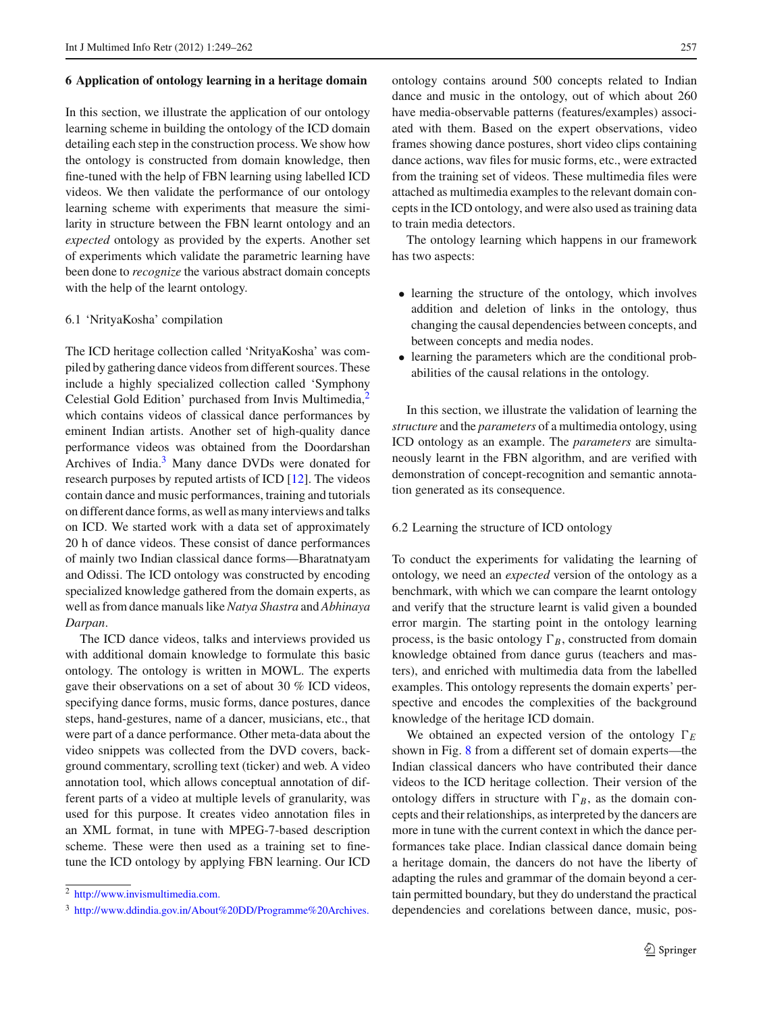#### <span id="page-8-0"></span>**6 Application of ontology learning in a heritage domain**

In this section, we illustrate the application of our ontology learning scheme in building the ontology of the ICD domain detailing each step in the construction process. We show how the ontology is constructed from domain knowledge, then fine-tuned with the help of FBN learning using labelled ICD videos. We then validate the performance of our ontology learning scheme with experiments that measure the similarity in structure between the FBN learnt ontology and an *expected* ontology as provided by the experts. Another set of experiments which validate the parametric learning have been done to *recognize* the various abstract domain concepts with the help of the learnt ontology.

# 6.1 'NrityaKosha' compilation

The ICD heritage collection called 'NrityaKosha' was compiled by gathering dance videos from different sources. These include a highly specialized collection called 'Symphony Celestial Gold Edition' purchased from Invis Multimedia,<sup>[2](#page-8-1)</sup> which contains videos of classical dance performances by eminent Indian artists. Another set of high-quality dance performance videos was obtained from the Doordarshan Archives of India.[3](#page-8-2) Many dance DVDs were donated for research purposes by reputed artists of ICD [\[12](#page-13-24)]. The videos contain dance and music performances, training and tutorials on different dance forms, as well as many interviews and talks on ICD. We started work with a data set of approximately 20 h of dance videos. These consist of dance performances of mainly two Indian classical dance forms—Bharatnatyam and Odissi. The ICD ontology was constructed by encoding specialized knowledge gathered from the domain experts, as well as from dance manuals like *Natya Shastra* and *Abhinaya Darpan*.

The ICD dance videos, talks and interviews provided us with additional domain knowledge to formulate this basic ontology. The ontology is written in MOWL. The experts gave their observations on a set of about 30 % ICD videos, specifying dance forms, music forms, dance postures, dance steps, hand-gestures, name of a dancer, musicians, etc., that were part of a dance performance. Other meta-data about the video snippets was collected from the DVD covers, background commentary, scrolling text (ticker) and web. A video annotation tool, which allows conceptual annotation of different parts of a video at multiple levels of granularity, was used for this purpose. It creates video annotation files in an XML format, in tune with MPEG-7-based description scheme. These were then used as a training set to finetune the ICD ontology by applying FBN learning. Our ICD ontology contains around 500 concepts related to Indian dance and music in the ontology, out of which about 260 have media-observable patterns (features/examples) associated with them. Based on the expert observations, video frames showing dance postures, short video clips containing dance actions, wav files for music forms, etc., were extracted from the training set of videos. These multimedia files were attached as multimedia examples to the relevant domain concepts in the ICD ontology, and were also used as training data to train media detectors.

The ontology learning which happens in our framework has two aspects:

- learning the structure of the ontology, which involves addition and deletion of links in the ontology, thus changing the causal dependencies between concepts, and between concepts and media nodes.
- learning the parameters which are the conditional probabilities of the causal relations in the ontology.

In this section, we illustrate the validation of learning the *structure* and the *parameters* of a multimedia ontology, using ICD ontology as an example. The *parameters* are simultaneously learnt in the FBN algorithm, and are verified with demonstration of concept-recognition and semantic annotation generated as its consequence.

#### 6.2 Learning the structure of ICD ontology

To conduct the experiments for validating the learning of ontology, we need an *expected* version of the ontology as a benchmark, with which we can compare the learnt ontology and verify that the structure learnt is valid given a bounded error margin. The starting point in the ontology learning process, is the basic ontology  $\Gamma_B$ , constructed from domain knowledge obtained from dance gurus (teachers and masters), and enriched with multimedia data from the labelled examples. This ontology represents the domain experts' perspective and encodes the complexities of the background knowledge of the heritage ICD domain.

We obtained an expected version of the ontology  $\Gamma_F$ shown in Fig. [8](#page-9-0) from a different set of domain experts—the Indian classical dancers who have contributed their dance videos to the ICD heritage collection. Their version of the ontology differs in structure with  $\Gamma_B$ , as the domain concepts and their relationships, as interpreted by the dancers are more in tune with the current context in which the dance performances take place. Indian classical dance domain being a heritage domain, the dancers do not have the liberty of adapting the rules and grammar of the domain beyond a certain permitted boundary, but they do understand the practical dependencies and corelations between dance, music, pos-

<sup>2</sup> <http://www.invismultimedia.com.>

<span id="page-8-2"></span><span id="page-8-1"></span><sup>3</sup> <http://www.ddindia.gov.in/About%20DD/Programme%20Archives.>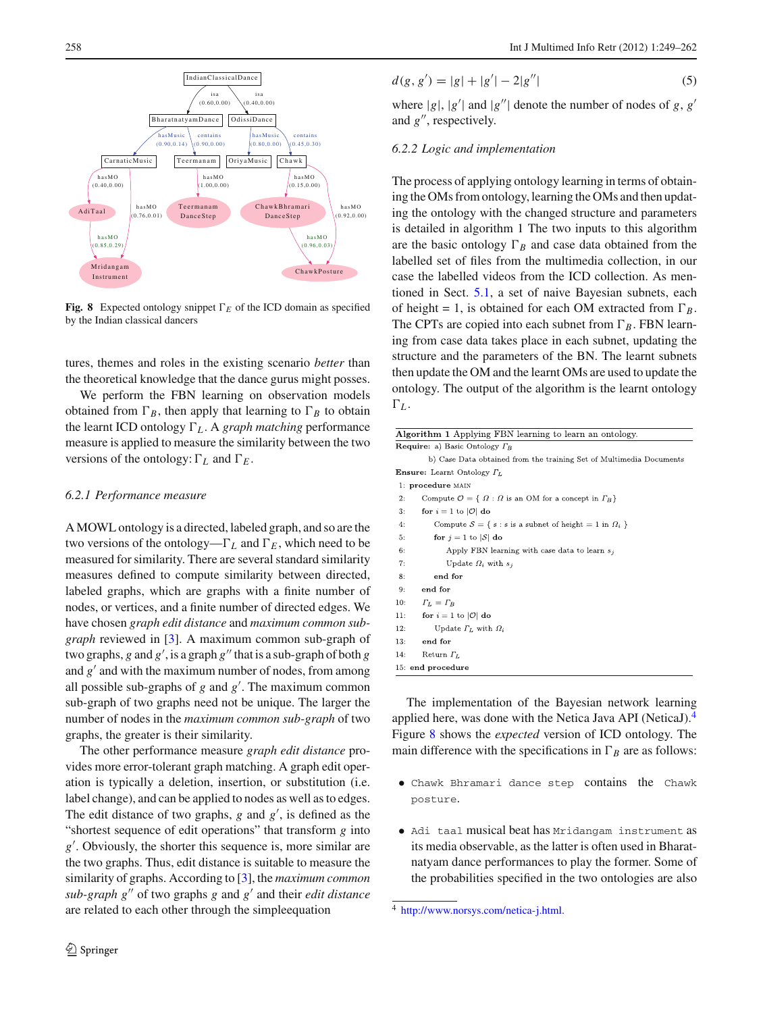

<span id="page-9-0"></span>**Fig. 8** Expected ontology snippet  $\Gamma_E$  of the ICD domain as specified by the Indian classical dancers

tures, themes and roles in the existing scenario *better* than the theoretical knowledge that the dance gurus might posses.

We perform the FBN learning on observation models obtained from  $\Gamma_B$ , then apply that learning to  $\Gamma_B$  to obtain the learnt ICD ontology  $\Gamma_L$ . A *graph matching* performance measure is applied to measure the similarity between the two versions of the ontology:  $\Gamma_L$  and  $\Gamma_F$ .

## *6.2.1 Performance measure*

A MOWL ontology is a directed, labeled graph, and so are the two versions of the ontology— $\Gamma_L$  and  $\Gamma_E$ , which need to be measured for similarity. There are several standard similarity measures defined to compute similarity between directed, labeled graphs, which are graphs with a finite number of nodes, or vertices, and a finite number of directed edges. We have chosen *graph edit distance* and *maximum common subgraph* reviewed in [\[3](#page-13-25)]. A maximum common sub-graph of two graphs, *g* and *g* ′ , is a graph *g* ′′ that is a sub-graph of both *g* and  $g'$  and with the maximum number of nodes, from among all possible sub-graphs of  $g$  and  $g'$ . The maximum common sub-graph of two graphs need not be unique. The larger the number of nodes in the *maximum common sub-graph* of two graphs, the greater is their similarity.

The other performance measure *graph edit distance* provides more error-tolerant graph matching. A graph edit operation is typically a deletion, insertion, or substitution (i.e. label change), and can be applied to nodes as well as to edges. The edit distance of two graphs,  $g$  and  $g'$ , is defined as the "shortest sequence of edit operations" that transform *g* into *g* ′ . Obviously, the shorter this sequence is, more similar are the two graphs. Thus, edit distance is suitable to measure the similarity of graphs. According to [\[3](#page-13-25)], the *maximum common sub-graph g*′′ of two graphs *g* and *g* ′ and their *edit distance* are related to each other through the simpleequation

$$
d(g, g') = |g| + |g'| - 2|g''|
$$
\n(5)

where  $|g|, |g'|$  and  $|g''|$  denote the number of nodes of *g*, *g*<sup>'</sup> and  $g''$ , respectively.

### *6.2.2 Logic and implementation*

The process of applying ontology learning in terms of obtaining the OMs from ontology, learning the OMs and then updating the ontology with the changed structure and parameters is detailed in algorithm 1 The two inputs to this algorithm are the basic ontology  $\Gamma_B$  and case data obtained from the labelled set of files from the multimedia collection, in our case the labelled videos from the ICD collection. As mentioned in Sect. [5.1,](#page-5-0) a set of naive Bayesian subnets, each of height = 1, is obtained for each OM extracted from  $\Gamma_B$ . The CPTs are copied into each subnet from  $\Gamma_B$ . FBN learning from case data takes place in each subnet, updating the structure and the parameters of the BN. The learnt subnets then update the OM and the learnt OMs are used to update the ontology. The output of the algorithm is the learnt ontology  $\Gamma_L$ .

| Algorithm 1 Applying FBN learning to learn an ontology.                                         |  |  |  |  |  |  |  |
|-------------------------------------------------------------------------------------------------|--|--|--|--|--|--|--|
| <b>Require:</b> a) Basic Ontology $\Gamma_B$                                                    |  |  |  |  |  |  |  |
| b) Case Data obtained from the training Set of Multimedia Documents                             |  |  |  |  |  |  |  |
| <b>Ensure:</b> Learnt Ontology $\Gamma_L$                                                       |  |  |  |  |  |  |  |
| 1: procedure MAIN                                                                               |  |  |  |  |  |  |  |
| Compute $\mathcal{O} = \{ \Omega : \Omega \text{ is an OM for a concept in } \Gamma_B \}$<br>2: |  |  |  |  |  |  |  |
| for $i = 1$ to $ O $ do<br>3:                                                                   |  |  |  |  |  |  |  |
| Compute $S = \{ s : s \text{ is a subnet of height } = 1 \text{ in } \Omega_i \}$<br>4:         |  |  |  |  |  |  |  |
| for $j = 1$ to $ S $ do<br>5:                                                                   |  |  |  |  |  |  |  |
| 6:<br>Apply FBN learning with case data to learn $s_i$                                          |  |  |  |  |  |  |  |
| 7:<br>Update $\Omega_i$ with $s_i$                                                              |  |  |  |  |  |  |  |
| end for<br>8:                                                                                   |  |  |  |  |  |  |  |
| end for<br>9:                                                                                   |  |  |  |  |  |  |  |
| $\Gamma_L=\Gamma_B$<br>10:                                                                      |  |  |  |  |  |  |  |
| for $i = 1$ to $ O $ do<br>11:                                                                  |  |  |  |  |  |  |  |
| Update $\Gamma_L$ with $\Omega_i$<br>12:                                                        |  |  |  |  |  |  |  |
| end for<br>13:                                                                                  |  |  |  |  |  |  |  |
| Return $\Gamma_L$<br>14:                                                                        |  |  |  |  |  |  |  |
| 15: end procedure                                                                               |  |  |  |  |  |  |  |

The implementation of the Bayesian network learning applied here, was done with the Netica Java API (NeticaJ).[4](#page-9-1) Figure [8](#page-9-0) shows the *expected* version of ICD ontology. The main difference with the specifications in  $\Gamma_B$  are as follows:

- Chawk Bhramari dance step contains the Chawk posture.
- Adi taal musical beat has Mridangam instrument as its media observable, as the latter is often used in Bharatnatyam dance performances to play the former. Some of the probabilities specified in the two ontologies are also

<span id="page-9-1"></span><sup>4</sup> <http://www.norsys.com/netica-j.html.>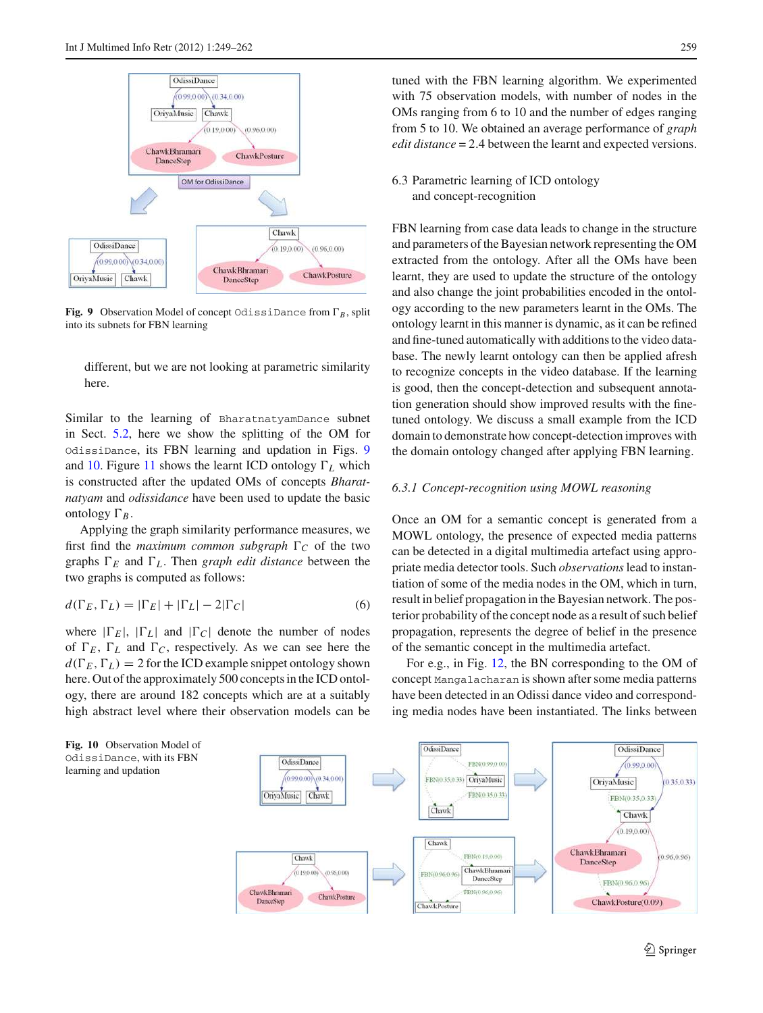

<span id="page-10-0"></span>**Fig. 9** Observation Model of concept OdissiDance from  $\Gamma_B$ , split into its subnets for FBN learning

different, but we are not looking at parametric similarity here.

Similar to the learning of BharatnatyamDance subnet in Sect. [5.2,](#page-6-2) here we show the splitting of the OM for OdissiDance, its FBN learning and updation in Figs. [9](#page-10-0) and [10.](#page-10-1) Figure [11](#page-11-0) shows the learnt ICD ontology  $\Gamma_L$  which is constructed after the updated OMs of concepts *Bharatnatyam* and *odissidance* have been used to update the basic ontology  $\Gamma_B$ .

Applying the graph similarity performance measures, we first find the *maximum common subgraph*  $\Gamma_C$  of the two graphs  $\Gamma_E$  and  $\Gamma_L$ . Then *graph edit distance* between the two graphs is computed as follows:

$$
d(\Gamma_E, \Gamma_L) = |\Gamma_E| + |\Gamma_L| - 2|\Gamma_C| \tag{6}
$$

where  $|\Gamma_E|$ ,  $|\Gamma_L|$  and  $|\Gamma_C|$  denote the number of nodes of  $\Gamma_E$ ,  $\Gamma_L$  and  $\Gamma_C$ , respectively. As we can see here the  $d(\Gamma_E, \Gamma_L) = 2$  for the ICD example snippet ontology shown here. Out of the approximately 500 concepts in the ICD ontology, there are around 182 concepts which are at a suitably high abstract level where their observation models can be

tuned with the FBN learning algorithm. We experimented with 75 observation models, with number of nodes in the OMs ranging from 6 to 10 and the number of edges ranging from 5 to 10. We obtained an average performance of *graph edit distance* = 2.4 between the learnt and expected versions.

# 6.3 Parametric learning of ICD ontology and concept-recognition

FBN learning from case data leads to change in the structure and parameters of the Bayesian network representing the OM extracted from the ontology. After all the OMs have been learnt, they are used to update the structure of the ontology and also change the joint probabilities encoded in the ontology according to the new parameters learnt in the OMs. The ontology learnt in this manner is dynamic, as it can be refined and fine-tuned automatically with additions to the video database. The newly learnt ontology can then be applied afresh to recognize concepts in the video database. If the learning is good, then the concept-detection and subsequent annotation generation should show improved results with the finetuned ontology. We discuss a small example from the ICD domain to demonstrate how concept-detection improves with the domain ontology changed after applying FBN learning.

# *6.3.1 Concept-recognition using MOWL reasoning*

Once an OM for a semantic concept is generated from a MOWL ontology, the presence of expected media patterns can be detected in a digital multimedia artefact using appropriate media detector tools. Such *observations*lead to instantiation of some of the media nodes in the OM, which in turn, result in belief propagation in the Bayesian network. The posterior probability of the concept node as a result of such belief propagation, represents the degree of belief in the presence of the semantic concept in the multimedia artefact.

For e.g., in Fig. [12,](#page-11-1) the BN corresponding to the OM of concept Mangalacharan is shown after some media patterns have been detected in an Odissi dance video and corresponding media nodes have been instantiated. The links between



<span id="page-10-1"></span>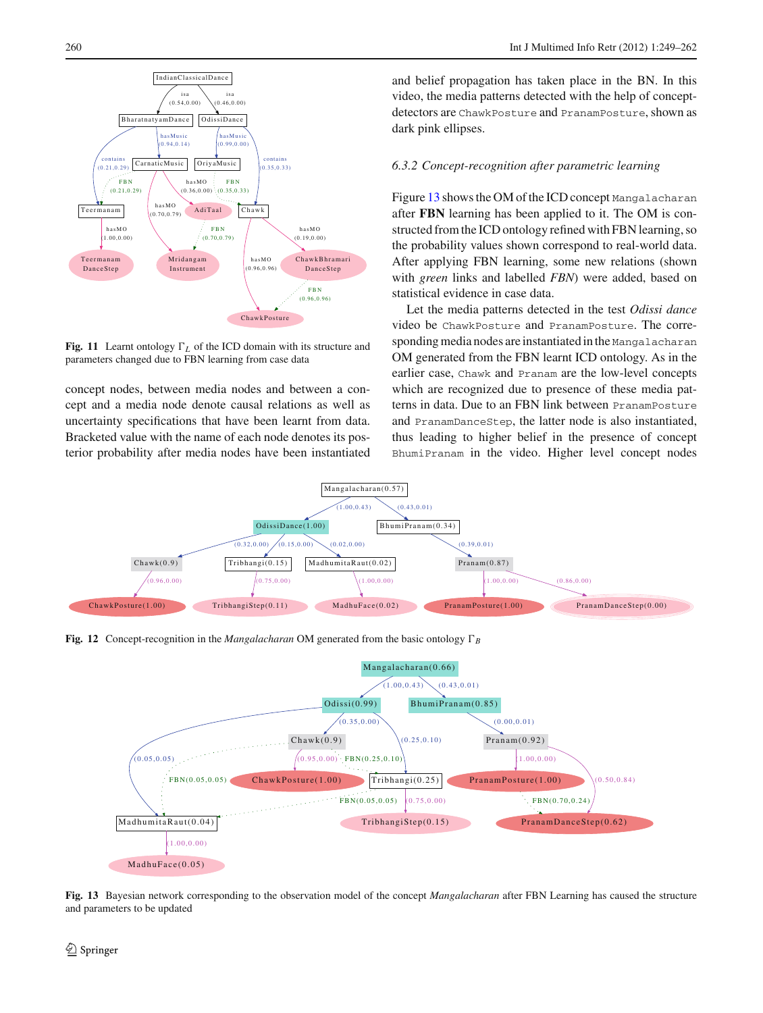

<span id="page-11-0"></span>**Fig. 11** Learnt ontology  $\Gamma_L$  of the ICD domain with its structure and parameters changed due to FBN learning from case data

concept nodes, between media nodes and between a concept and a media node denote causal relations as well as uncertainty specifications that have been learnt from data. Bracketed value with the name of each node denotes its posterior probability after media nodes have been instantiated and belief propagation has taken place in the BN. In this video, the media patterns detected with the help of conceptdetectors are ChawkPosture and PranamPosture, shown as dark pink ellipses.

#### *6.3.2 Concept-recognition after parametric learning*

Figure [13](#page-11-2) shows the OM of the ICD concept Mangalacharan after **FBN** learning has been applied to it. The OM is constructed from the ICD ontology refined with FBN learning, so the probability values shown correspond to real-world data. After applying FBN learning, some new relations (shown with *green* links and labelled *FBN*) were added, based on statistical evidence in case data.

Let the media patterns detected in the test *Odissi dance* video be ChawkPosture and PranamPosture. The corresponding media nodes are instantiated in the Mangalacharan OM generated from the FBN learnt ICD ontology. As in the earlier case, Chawk and Pranam are the low-level concepts which are recognized due to presence of these media patterns in data. Due to an FBN link between PranamPosture and PranamDanceStep, the latter node is also instantiated, thus leading to higher belief in the presence of concept BhumiPranam in the video. Higher level concept nodes



<span id="page-11-1"></span>**Fig. 12** Concept-recognition in the *Mangalacharan* OM generated from the basic ontology  $\Gamma_B$ 



<span id="page-11-2"></span>**Fig. 13** Bayesian network corresponding to the observation model of the concept *Mangalacharan* after FBN Learning has caused the structure and parameters to be updated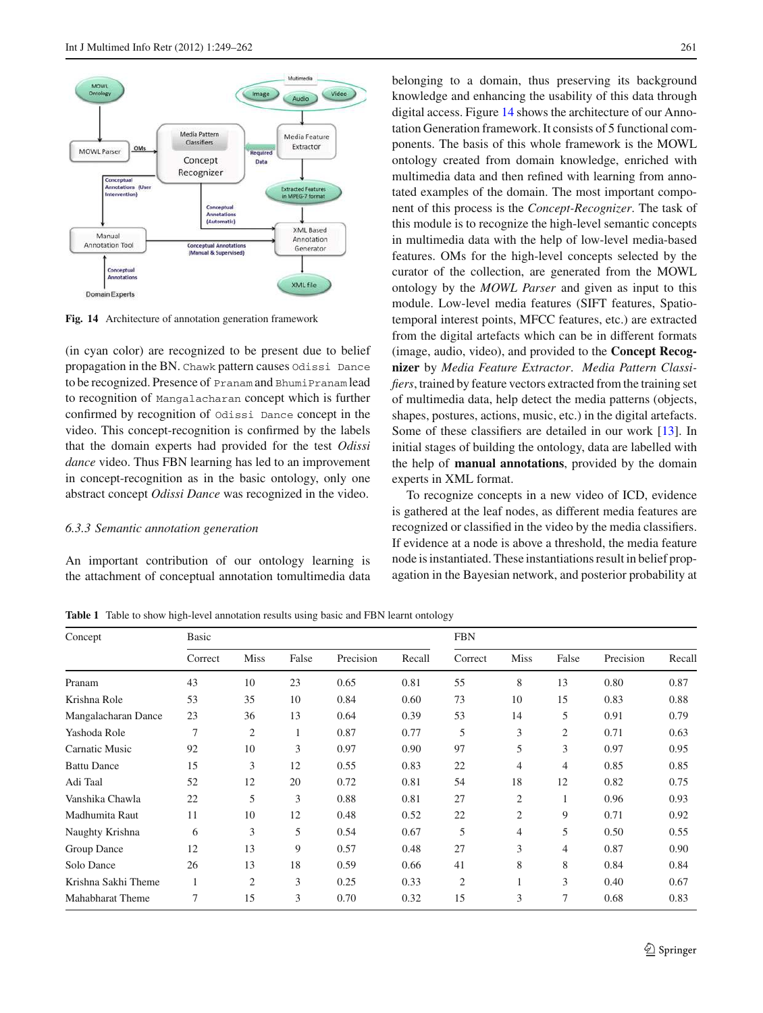

<span id="page-12-0"></span>**Fig. 14** Architecture of annotation generation framework

(in cyan color) are recognized to be present due to belief propagation in the BN. Chawk pattern causes Odissi Dance to be recognized. Presence of Pranam and BhumiPranam lead to recognition of Mangalacharan concept which is further confirmed by recognition of Odissi Dance concept in the video. This concept-recognition is confirmed by the labels that the domain experts had provided for the test *Odissi dance* video. Thus FBN learning has led to an improvement in concept-recognition as in the basic ontology, only one abstract concept *Odissi Dance* was recognized in the video.

#### *6.3.3 Semantic annotation generation*

An important contribution of our ontology learning is the attachment of conceptual annotation tomultimedia data

belonging to a domain, thus preserving its background knowledge and enhancing the usability of this data through digital access. Figure [14](#page-12-0) shows the architecture of our Annotation Generation framework. It consists of 5 functional components. The basis of this whole framework is the MOWL ontology created from domain knowledge, enriched with multimedia data and then refined with learning from annotated examples of the domain. The most important component of this process is the *Concept-Recognizer*. The task of this module is to recognize the high-level semantic concepts in multimedia data with the help of low-level media-based features. OMs for the high-level concepts selected by the curator of the collection, are generated from the MOWL ontology by the *MOWL Parser* and given as input to this module. Low-level media features (SIFT features, Spatiotemporal interest points, MFCC features, etc.) are extracted from the digital artefacts which can be in different formats (image, audio, video), and provided to the **Concept Recognizer** by *Media Feature Extractor*. *Media Pattern Classifiers*, trained by feature vectors extracted from the training set of multimedia data, help detect the media patterns (objects, shapes, postures, actions, music, etc.) in the digital artefacts. Some of these classifiers are detailed in our work [\[13\]](#page-13-23). In initial stages of building the ontology, data are labelled with the help of **manual annotations**, provided by the domain experts in XML format.

To recognize concepts in a new video of ICD, evidence is gathered at the leaf nodes, as different media features are recognized or classified in the video by the media classifiers. If evidence at a node is above a threshold, the media feature node is instantiated. These instantiations result in belief propagation in the Bayesian network, and posterior probability at

<span id="page-12-1"></span>**Table 1** Table to show high-level annotation results using basic and FBN learnt ontology

| Concept             | <b>Basic</b> |                |       |           |        | <b>FBN</b>     |                |                |           |        |
|---------------------|--------------|----------------|-------|-----------|--------|----------------|----------------|----------------|-----------|--------|
|                     | Correct      | <b>Miss</b>    | False | Precision | Recall | Correct        | <b>Miss</b>    | False          | Precision | Recall |
| Pranam              | 43           | 10             | 23    | 0.65      | 0.81   | 55             | 8              | 13             | 0.80      | 0.87   |
| Krishna Role        | 53           | 35             | 10    | 0.84      | 0.60   | 73             | 10             | 15             | 0.83      | 0.88   |
| Mangalacharan Dance | 23           | 36             | 13    | 0.64      | 0.39   | 53             | 14             | 5              | 0.91      | 0.79   |
| Yashoda Role        | 7            | $\mathfrak{2}$ | 1     | 0.87      | 0.77   | 5              | 3              | $\mathfrak{2}$ | 0.71      | 0.63   |
| Carnatic Music      | 92           | 10             | 3     | 0.97      | 0.90   | 97             | 5              | 3              | 0.97      | 0.95   |
| <b>Battu Dance</b>  | 15           | 3              | 12    | 0.55      | 0.83   | 22             | 4              | 4              | 0.85      | 0.85   |
| Adi Taal            | 52           | 12             | 20    | 0.72      | 0.81   | 54             | 18             | 12             | 0.82      | 0.75   |
| Vanshika Chawla     | 22           | 5              | 3     | 0.88      | 0.81   | 27             | $\overline{c}$ | 1              | 0.96      | 0.93   |
| Madhumita Raut      | 11           | 10             | 12    | 0.48      | 0.52   | 22             | 2              | 9              | 0.71      | 0.92   |
| Naughty Krishna     | 6            | 3              | 5     | 0.54      | 0.67   | 5              | $\overline{4}$ | 5              | 0.50      | 0.55   |
| Group Dance         | 12           | 13             | 9     | 0.57      | 0.48   | 27             | 3              | 4              | 0.87      | 0.90   |
| Solo Dance          | 26           | 13             | 18    | 0.59      | 0.66   | 41             | 8              | 8              | 0.84      | 0.84   |
| Krishna Sakhi Theme | 1            | $\mathfrak{2}$ | 3     | 0.25      | 0.33   | $\mathfrak{2}$ |                | 3              | 0.40      | 0.67   |
| Mahabharat Theme    | 7            | 15             | 3     | 0.70      | 0.32   | 15             | 3              | 7              | 0.68      | 0.83   |